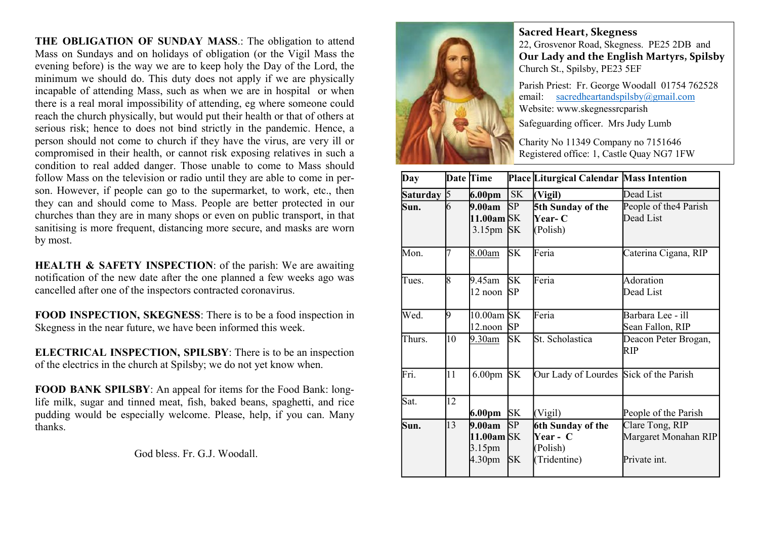THE OBLIGATION OF SUNDAY MASS.: The obligation to attend Mass on Sundays and on holidays of obligation (or the Vigil Mass the evening before) is the way we are to keep holy the Day of the Lord, the minimum we should do. This duty does not apply if we are physically incapable of attending Mass, such as when we are in hospital or when there is a real moral impossibility of attending, eg where someone could reach the church physically, but would put their health or that of others at serious risk; hence to does not bind strictly in the pandemic. Hence, a person should not come to church if they have the virus, are very ill or compromised in their health, or cannot risk exposing relatives in such a condition to real added danger. Those unable to come to Mass should follow Mass on the television or radio until they are able to come in person. However, if people can go to the supermarket, to work, etc., then they can and should come to Mass. People are better protected in our churches than they are in many shops or even on public transport, in that sanitising is more frequent, distancing more secure, and masks are worn by most.

HEALTH & SAFETY INSPECTION: of the parish: We are awaiting notification of the new date after the one planned a few weeks ago was cancelled after one of the inspectors contracted coronavirus.

FOOD INSPECTION, SKEGNESS: There is to be a food inspection in Skegness in the near future, we have been informed this week.

ELECTRICAL INSPECTION, SPILSBY: There is to be an inspection of the electrics in the church at Spilsby; we do not yet know when.

FOOD BANK SPILSBY: An appeal for items for the Food Bank: longlife milk, sugar and tinned meat, fish, baked beans, spaghetti, and rice pudding would be especially welcome. Please, help, if you can. Many thanks.

God bless. Fr. G.J. Woodall.



Sacred Heart, Skegness 22, Grosvenor Road, Skegness. PE25 2DB and Our Lady and the English Martyrs, Spilsby Church St., Spilsby, PE23 5EF

Parish Priest: Fr. George Woodall 01754 762528 email: sacredheartandspilsby@gmail.com Website: www.skegnessrcparish

Safeguarding officer. Mrs Judy Lumb

Charity No 11349 Company no 7151646 Registered office: 1, Castle Quay NG7 1FW

| Day             |    | <b>Date Time</b>     |           | Place Liturgical Calendar Mass Intention |                             |
|-----------------|----|----------------------|-----------|------------------------------------------|-----------------------------|
| <b>Saturday</b> | 5  | 6.00pm               | <b>SK</b> | (Vigil)                                  | Dead List                   |
| Sun.            | 6  | 9.00am               | SP        | 5th Sunday of the                        | People of the 4 Parish      |
|                 |    | 11.00am SK           |           | <b>Year- C</b>                           | Dead List                   |
|                 |    | 3.15 <sub>pm</sub>   | <b>SK</b> | (Polish)                                 |                             |
| Mon.            |    | <u>8.00am</u>        | SK        | Feria                                    | Caterina Cigana, RIP        |
| Tues.           | 8  | 9.45am               | <b>SK</b> | Feria                                    | Adoration                   |
|                 |    | 12 noon              | <b>SP</b> |                                          | Dead List                   |
| Wed.            | 9  | $10.00$ am SK        |           | Feria                                    | Barbara Lee - ill           |
|                 |    | 12.noon              | <b>SP</b> |                                          | Sean Fallon, RIP            |
| Thurs.          | 10 | 9.30am               | <b>SK</b> | St. Scholastica                          | Deacon Peter Brogan,<br>RIP |
| Fri.            | 11 | 6.00 <sub>pm</sub>   | <b>SK</b> | Our Lady of Lourdes Sick of the Parish   |                             |
| Sat.            | 12 |                      |           |                                          |                             |
|                 |    | 6.00pm               | <b>SK</b> | (Vigil)                                  | People of the Parish        |
| Sun.            | 13 | 9.00am               | SP.       | 6th Sunday of the                        | Clare Tong, RIP             |
|                 |    | 11.00 $\text{am}$ SK |           | Year - C                                 | Margaret Monahan RIP        |
|                 |    | 3.15pm               |           | (Polish)                                 |                             |
|                 |    | 4.30 <sub>pm</sub>   | <b>SK</b> | (Tridentine)                             | Private int.                |